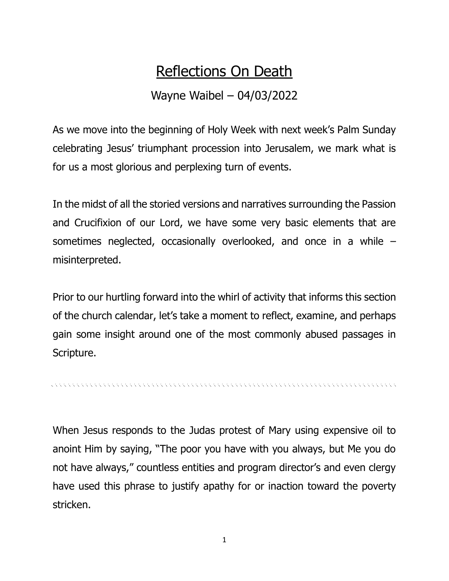## Reflections On Death

## Wayne Waibel – 04/03/2022

As we move into the beginning of Holy Week with next week's Palm Sunday celebrating Jesus' triumphant procession into Jerusalem, we mark what is for us a most glorious and perplexing turn of events.

In the midst of all the storied versions and narratives surrounding the Passion and Crucifixion of our Lord, we have some very basic elements that are sometimes neglected, occasionally overlooked, and once in a while – misinterpreted.

Prior to our hurtling forward into the whirl of activity that informs this section of the church calendar, let's take a moment to reflect, examine, and perhaps gain some insight around one of the most commonly abused passages in Scripture.

When Jesus responds to the Judas protest of Mary using expensive oil to anoint Him by saying, "The poor you have with you always, but Me you do not have always," countless entities and program director's and even clergy have used this phrase to justify apathy for or inaction toward the poverty stricken.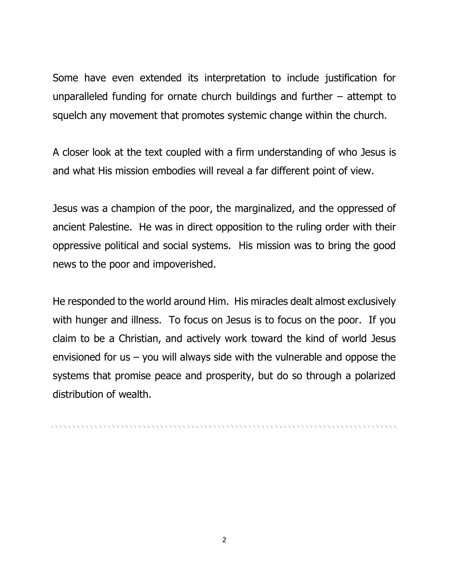Some have even extended its interpretation to include justification for unparalleled funding for ornate church buildings and further – attempt to squelch any movement that promotes systemic change within the church.

A closer look at the text coupled with a firm understanding of who Jesus is and what His mission embodies will reveal a far different point of view.

Jesus was a champion of the poor, the marginalized, and the oppressed of ancient Palestine. He was in direct opposition to the ruling order with their oppressive political and social systems. His mission was to bring the good news to the poor and impoverished.

He responded to the world around Him. His miracles dealt almost exclusively with hunger and illness. To focus on Jesus is to focus on the poor. If you claim to be a Christian, and actively work toward the kind of world Jesus envisioned for us  $-$  you will always side with the vulnerable and oppose the systems that promise peace and prosperity, but do so through a polarized distribution of wealth.

, a concert a concert and a concert and a concert and a concert and a concert and a concert and a concert and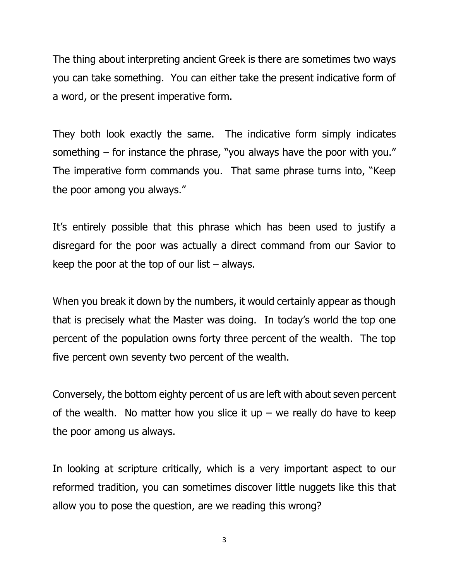The thing about interpreting ancient Greek is there are sometimes two ways you can take something. You can either take the present indicative form of a word, or the present imperative form.

They both look exactly the same. The indicative form simply indicates something – for instance the phrase, "you always have the poor with you." The imperative form commands you. That same phrase turns into, "Keep the poor among you always."

It's entirely possible that this phrase which has been used to justify a disregard for the poor was actually a direct command from our Savior to keep the poor at the top of our list  $-$  always.

When you break it down by the numbers, it would certainly appear as though that is precisely what the Master was doing. In today's world the top one percent of the population owns forty three percent of the wealth. The top five percent own seventy two percent of the wealth.

Conversely, the bottom eighty percent of us are left with about seven percent of the wealth. No matter how you slice it up – we really do have to keep the poor among us always.

In looking at scripture critically, which is a very important aspect to our reformed tradition, you can sometimes discover little nuggets like this that allow you to pose the question, are we reading this wrong?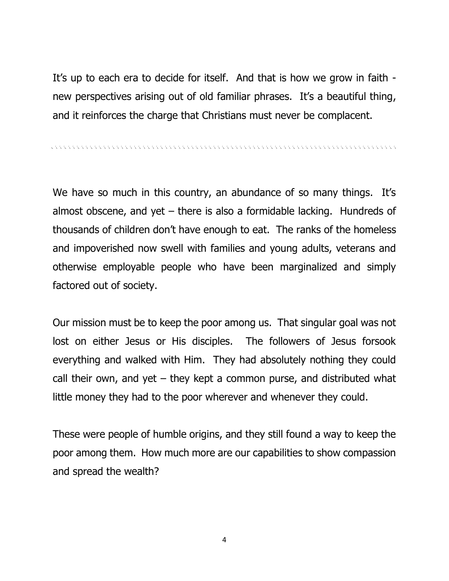It's up to each era to decide for itself. And that is how we grow in faith new perspectives arising out of old familiar phrases. It's a beautiful thing, and it reinforces the charge that Christians must never be complacent.

, a concert a concert and a concert and a concert and a concert and a concert and a concert and a concert and

We have so much in this country, an abundance of so many things. It's almost obscene, and yet  $-$  there is also a formidable lacking. Hundreds of thousands of children don't have enough to eat. The ranks of the homeless and impoverished now swell with families and young adults, veterans and otherwise employable people who have been marginalized and simply factored out of society.

Our mission must be to keep the poor among us. That singular goal was not lost on either Jesus or His disciples. The followers of Jesus forsook everything and walked with Him. They had absolutely nothing they could call their own, and yet  $-$  they kept a common purse, and distributed what little money they had to the poor wherever and whenever they could.

These were people of humble origins, and they still found a way to keep the poor among them. How much more are our capabilities to show compassion and spread the wealth?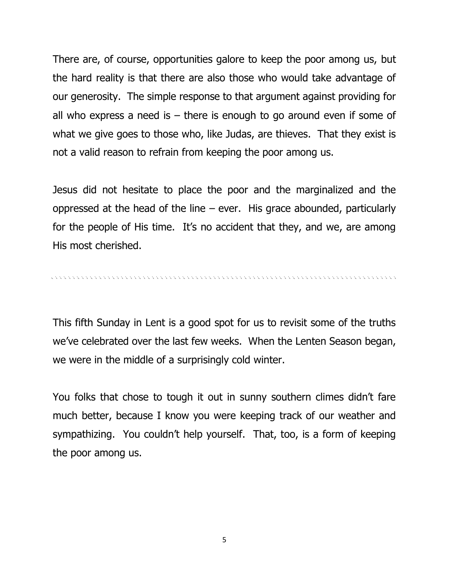There are, of course, opportunities galore to keep the poor among us, but the hard reality is that there are also those who would take advantage of our generosity. The simple response to that argument against providing for all who express a need is  $-$  there is enough to go around even if some of what we give goes to those who, like Judas, are thieves. That they exist is not a valid reason to refrain from keeping the poor among us.

Jesus did not hesitate to place the poor and the marginalized and the oppressed at the head of the line – ever. His grace abounded, particularly for the people of His time. It's no accident that they, and we, are among His most cherished.

This fifth Sunday in Lent is a good spot for us to revisit some of the truths we've celebrated over the last few weeks. When the Lenten Season began, we were in the middle of a surprisingly cold winter.

You folks that chose to tough it out in sunny southern climes didn't fare much better, because I know you were keeping track of our weather and sympathizing. You couldn't help yourself. That, too, is a form of keeping the poor among us.